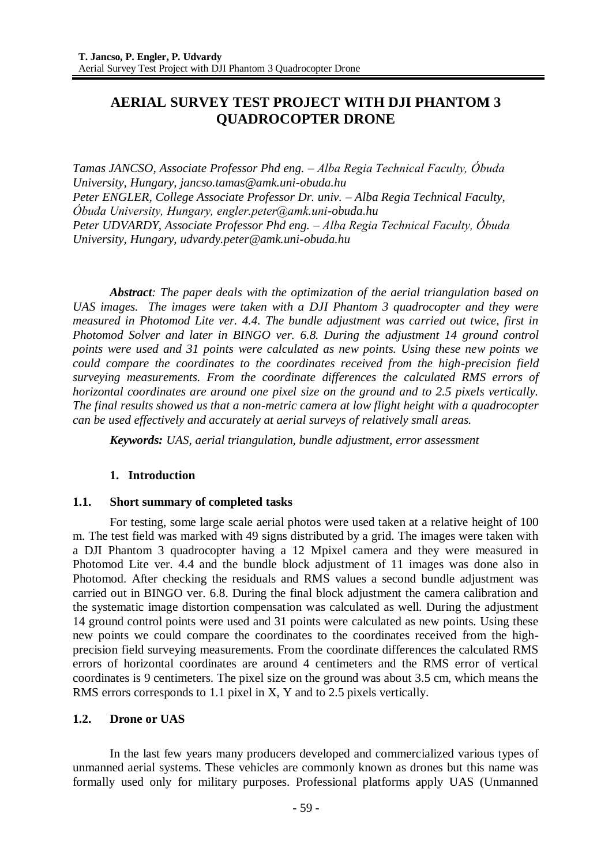# **AERIAL SURVEY TEST PROJECT WITH DJI PHANTOM 3 QUADROCOPTER DRONE**

*Tamas JANCSO, Associate Professor Phd eng. – Alba Regia Technical Faculty, Óbuda University, Hungary, jancso.tamas@amk.uni-obuda.hu Peter ENGLER, College Associate Professor Dr. univ. – Alba Regia Technical Faculty, Óbuda University, Hungary, engler.peter@amk.uni-obuda.hu Peter UDVARDY, Associate Professor Phd eng. – Alba Regia Technical Faculty, Óbuda University, Hungary, udvardy.peter@amk.uni-obuda.hu*

*Abstract: The paper deals with the optimization of the aerial triangulation based on UAS images. The images were taken with a DJI Phantom 3 quadrocopter and they were measured in Photomod Lite ver. 4.4. The bundle adjustment was carried out twice, first in Photomod Solver and later in BINGO ver. 6.8. During the adjustment 14 ground control points were used and 31 points were calculated as new points. Using these new points we could compare the coordinates to the coordinates received from the high-precision field surveying measurements. From the coordinate differences the calculated RMS errors of horizontal coordinates are around one pixel size on the ground and to 2.5 pixels vertically. The final results showed us that a non-metric camera at low flight height with a quadrocopter can be used effectively and accurately at aerial surveys of relatively small areas.* 

*Keywords: UAS, aerial triangulation, bundle adjustment, error assessment*

# **1. Introduction**

# **1.1. Short summary of completed tasks**

For testing, some large scale aerial photos were used taken at a relative height of 100 m. The test field was marked with 49 signs distributed by a grid. The images were taken with a DJI Phantom 3 quadrocopter having a 12 Mpixel camera and they were measured in Photomod Lite ver. 4.4 and the bundle block adjustment of 11 images was done also in Photomod. After checking the residuals and RMS values a second bundle adjustment was carried out in BINGO ver. 6.8. During the final block adjustment the camera calibration and the systematic image distortion compensation was calculated as well. During the adjustment 14 ground control points were used and 31 points were calculated as new points. Using these new points we could compare the coordinates to the coordinates received from the highprecision field surveying measurements. From the coordinate differences the calculated RMS errors of horizontal coordinates are around 4 centimeters and the RMS error of vertical coordinates is 9 centimeters. The pixel size on the ground was about 3.5 cm, which means the RMS errors corresponds to 1.1 pixel in X, Y and to 2.5 pixels vertically.

# **1.2. Drone or UAS**

In the last few years many producers developed and commercialized various types of unmanned aerial systems. These vehicles are commonly known as drones but this name was formally used only for military purposes. Professional platforms apply UAS (Unmanned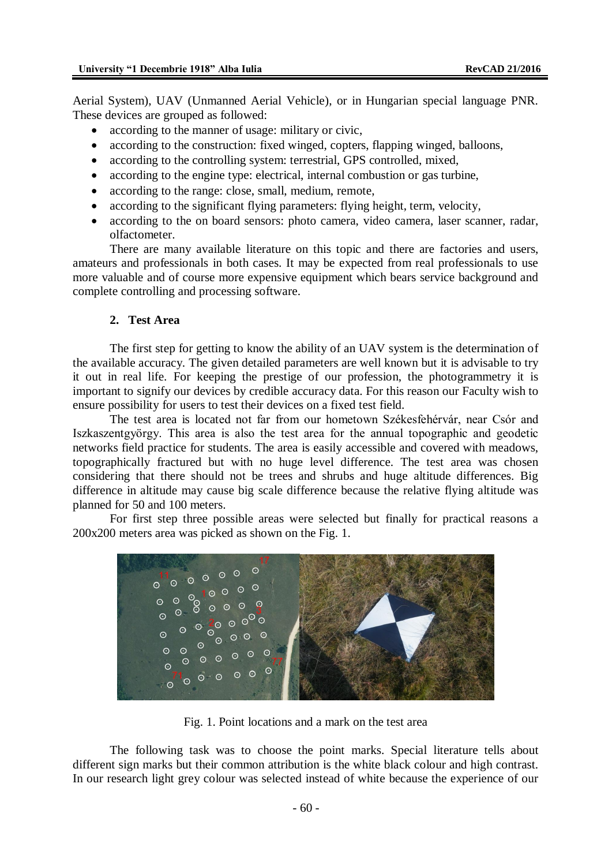Aerial System), UAV (Unmanned Aerial Vehicle), or in Hungarian special language PNR. These devices are grouped as followed:

- according to the manner of usage: military or civic,
- according to the construction: fixed winged, copters, flapping winged, balloons,
- according to the controlling system: terrestrial, GPS controlled, mixed,
- according to the engine type: electrical, internal combustion or gas turbine,
- according to the range: close, small, medium, remote,
- according to the significant flying parameters: flying height, term, velocity,
- according to the on board sensors: photo camera, video camera, laser scanner, radar, olfactometer.

There are many available literature on this topic and there are factories and users, amateurs and professionals in both cases. It may be expected from real professionals to use more valuable and of course more expensive equipment which bears service background and complete controlling and processing software.

# **2. Test Area**

The first step for getting to know the ability of an UAV system is the determination of the available accuracy. The given detailed parameters are well known but it is advisable to try it out in real life. For keeping the prestige of our profession, the photogrammetry it is important to signify our devices by credible accuracy data. For this reason our Faculty wish to ensure possibility for users to test their devices on a fixed test field.

The test area is located not far from our hometown Székesfehérvár, near Csór and Iszkaszentgyörgy. This area is also the test area for the annual topographic and geodetic networks field practice for students. The area is easily accessible and covered with meadows, topographically fractured but with no huge level difference. The test area was chosen considering that there should not be trees and shrubs and huge altitude differences. Big difference in altitude may cause big scale difference because the relative flying altitude was planned for 50 and 100 meters.

For first step three possible areas were selected but finally for practical reasons a 200x200 meters area was picked as shown on the Fig. 1.



Fig. 1. Point locations and a mark on the test area

The following task was to choose the point marks. Special literature tells about different sign marks but their common attribution is the white black colour and high contrast. In our research light grey colour was selected instead of white because the experience of our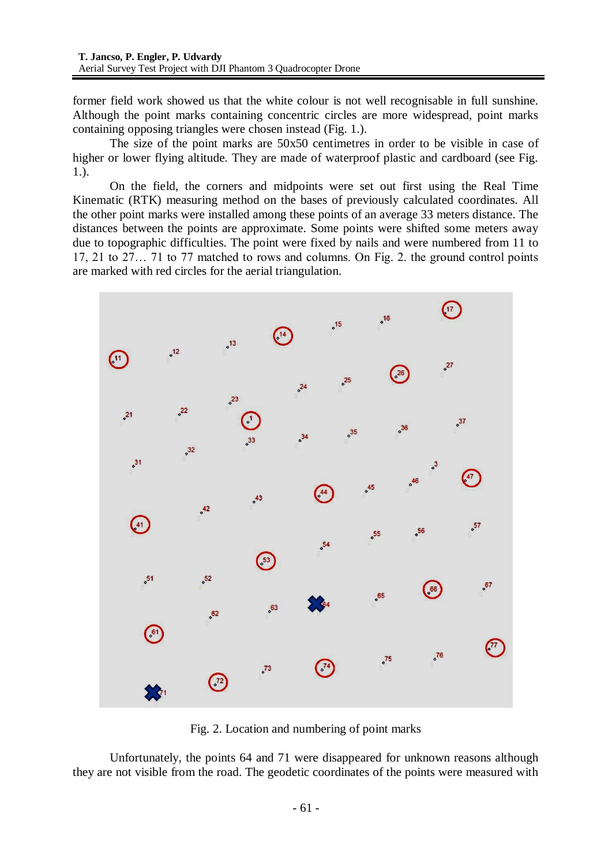former field work showed us that the white colour is not well recognisable in full sunshine. Although the point marks containing concentric circles are more widespread, point marks containing opposing triangles were chosen instead (Fig. 1.).

The size of the point marks are 50x50 centimetres in order to be visible in case of higher or lower flying altitude. They are made of waterproof plastic and cardboard (see Fig. 1.).

On the field, the corners and midpoints were set out first using the Real Time Kinematic (RTK) measuring method on the bases of previously calculated coordinates. All the other point marks were installed among these points of an average 33 meters distance. The distances between the points are approximate. Some points were shifted some meters away due to topographic difficulties. The point were fixed by nails and were numbered from 11 to 17, 21 to 27… 71 to 77 matched to rows and columns. On Fig. 2. the ground control points are marked with red circles for the aerial triangulation.



Fig. 2. Location and numbering of point marks

Unfortunately, the points 64 and 71 were disappeared for unknown reasons although they are not visible from the road. The geodetic coordinates of the points were measured with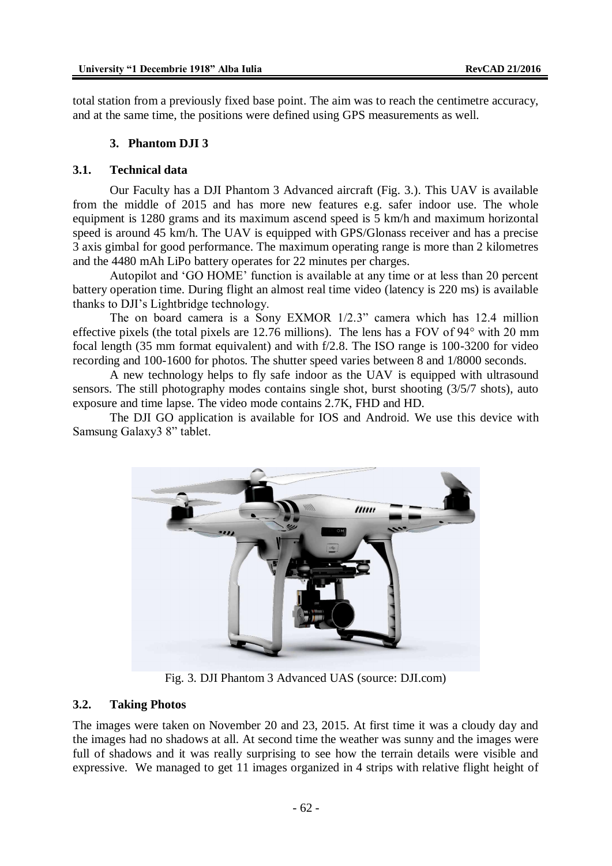total station from a previously fixed base point. The aim was to reach the centimetre accuracy, and at the same time, the positions were defined using GPS measurements as well.

#### **3. Phantom DJI 3**

#### **3.1. Technical data**

Our Faculty has a DJI Phantom 3 Advanced aircraft (Fig. 3.). This UAV is available from the middle of 2015 and has more new features e.g. safer indoor use. The whole equipment is 1280 grams and its maximum ascend speed is 5 km/h and maximum horizontal speed is around 45 km/h. The UAV is equipped with GPS/Glonass receiver and has a precise 3 axis gimbal for good performance. The maximum operating range is more than 2 kilometres and the 4480 mAh LiPo battery operates for 22 minutes per charges.

Autopilot and 'GO HOME' function is available at any time or at less than 20 percent battery operation time. During flight an almost real time video (latency is 220 ms) is available thanks to DJI's Lightbridge technology.

The on board camera is a Sony EXMOR 1/2.3" camera which has 12.4 million effective pixels (the total pixels are 12.76 millions). The lens has a FOV of 94° with 20 mm focal length (35 mm format equivalent) and with f/2.8. The ISO range is 100-3200 for video recording and 100-1600 for photos. The shutter speed varies between 8 and 1/8000 seconds.

A new technology helps to fly safe indoor as the UAV is equipped with ultrasound sensors. The still photography modes contains single shot, burst shooting (3/5/7 shots), auto exposure and time lapse. The video mode contains 2.7K, FHD and HD.

The DJI GO application is available for IOS and Android. We use this device with Samsung Galaxy3 8" tablet.



Fig. 3. DJI Phantom 3 Advanced UAS (source: DJI.com)

#### **3.2. Taking Photos**

The images were taken on November 20 and 23, 2015. At first time it was a cloudy day and the images had no shadows at all. At second time the weather was sunny and the images were full of shadows and it was really surprising to see how the terrain details were visible and expressive. We managed to get 11 images organized in 4 strips with relative flight height of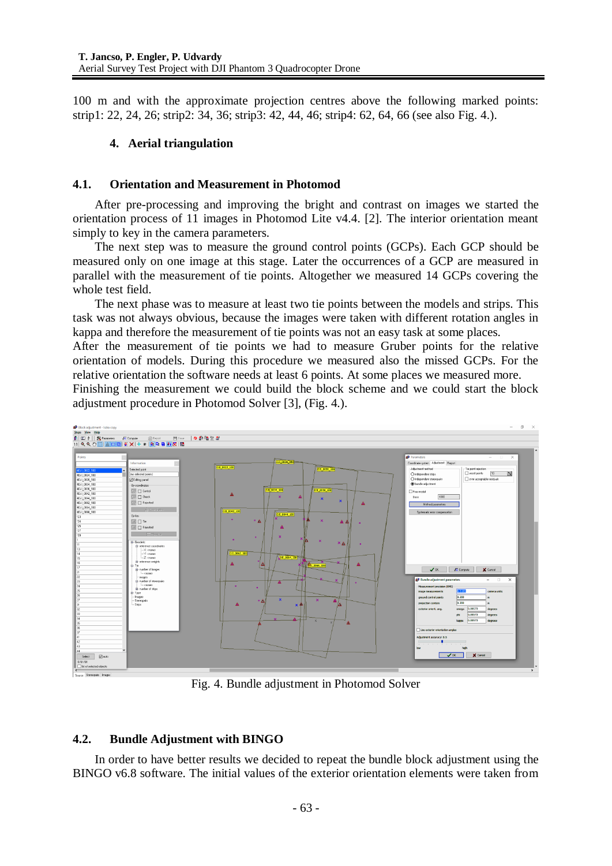100 m and with the approximate projection centres above the following marked points: strip1: 22, 24, 26; strip2: 34, 36; strip3: 42, 44, 46; strip4: 62, 64, 66 (see also Fig. 4.).

# **4. Aerial triangulation**

# **4.1. Orientation and Measurement in Photomod**

After pre-processing and improving the bright and contrast on images we started the orientation process of 11 images in Photomod Lite v4.4. [2]. The interior orientation meant simply to key in the camera parameters.

The next step was to measure the ground control points (GCPs). Each GCP should be measured only on one image at this stage. Later the occurrences of a GCP are measured in parallel with the measurement of tie points. Altogether we measured 14 GCPs covering the whole test field.

The next phase was to measure at least two tie points between the models and strips. This task was not always obvious, because the images were taken with different rotation angles in kappa and therefore the measurement of tie points was not an easy task at some places.

After the measurement of tie points we had to measure Gruber points for the relative orientation of models. During this procedure we measured also the missed GCPs. For the relative orientation the software needs at least 6 points. At some places we measured more.

Finishing the measurement we could build the block scheme and we could start the block adjustment procedure in Photomod Solver [3], (Fig. 4.).



Fig. 4. Bundle adjustment in Photomod Solver

# **4.2. Bundle Adjustment with BINGO**

In order to have better results we decided to repeat the bundle block adjustment using the BINGO v6.8 software. The initial values of the exterior orientation elements were taken from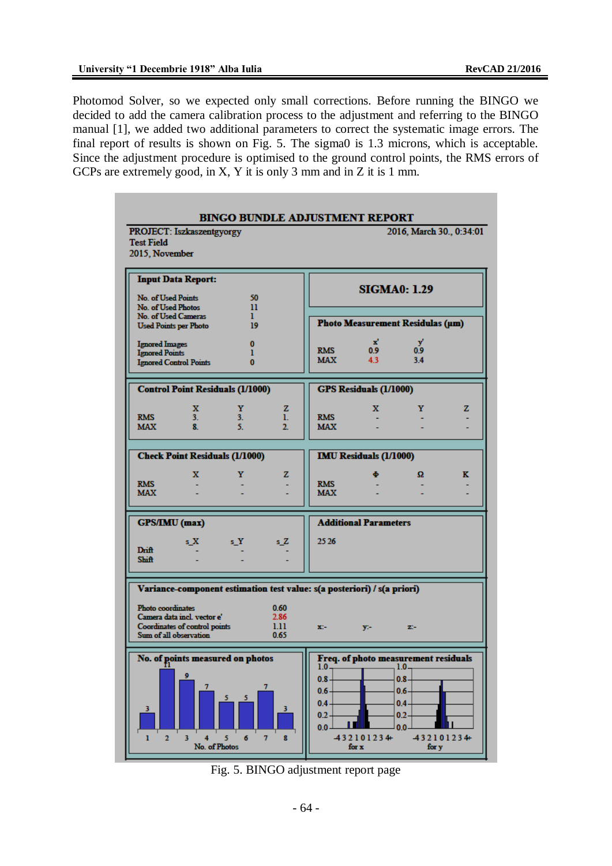Photomod Solver, so we expected only small corrections. Before running the BINGO we decided to add the camera calibration process to the adjustment and referring to the BINGO manual [1], we added two additional parameters to correct the systematic image errors. The final report of results is shown on Fig. 5. The sigma0 is 1.3 microns, which is acceptable. Since the adjustment procedure is optimised to the ground control points, the RMS errors of GCPs are extremely good, in X, Y it is only 3 mm and in Z it is 1 mm.



Fig. 5. BINGO adjustment report page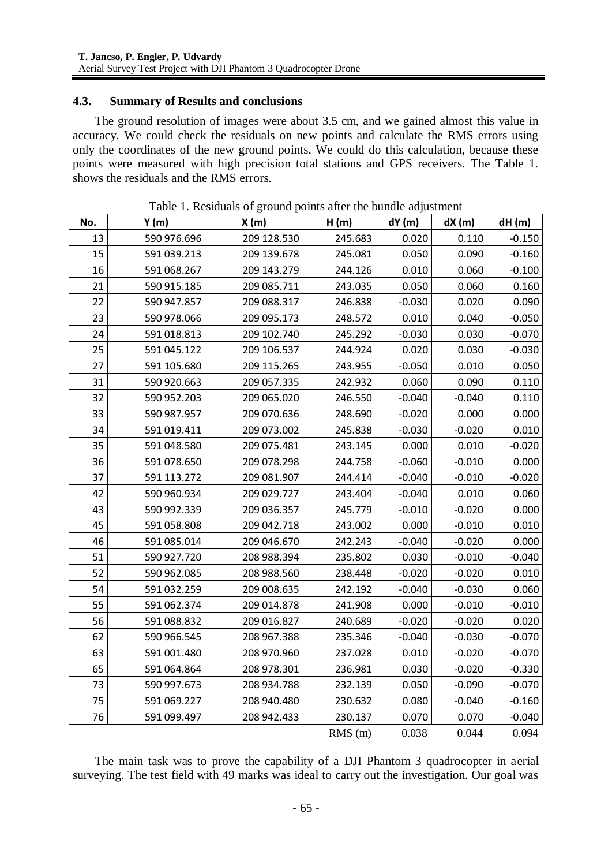# **4.3. Summary of Results and conclusions**

The ground resolution of images were about 3.5 cm, and we gained almost this value in accuracy. We could check the residuals on new points and calculate the RMS errors using only the coordinates of the new ground points. We could do this calculation, because these points were measured with high precision total stations and GPS receivers. The Table 1. shows the residuals and the RMS errors.

| No. | Y(m)        | to of ground points after the<br>X(m) | H(m)      | dY(m)    | dX(m)    | dH(m)    |
|-----|-------------|---------------------------------------|-----------|----------|----------|----------|
| 13  | 590 976.696 | 209 128.530                           | 245.683   | 0.020    | 0.110    | $-0.150$ |
| 15  | 591 039.213 | 209 139.678                           | 245.081   | 0.050    | 0.090    | $-0.160$ |
| 16  | 591 068.267 | 209 143.279                           | 244.126   | 0.010    | 0.060    | $-0.100$ |
| 21  | 590 915.185 | 209 085.711                           | 243.035   | 0.050    | 0.060    | 0.160    |
| 22  | 590 947.857 | 209 088.317                           | 246.838   | $-0.030$ | 0.020    | 0.090    |
| 23  | 590 978.066 | 209 095.173                           | 248.572   | 0.010    | 0.040    | $-0.050$ |
| 24  | 591 018.813 | 209 102.740                           | 245.292   | $-0.030$ | 0.030    | $-0.070$ |
| 25  | 591 045.122 | 209 106.537                           | 244.924   | 0.020    | 0.030    | $-0.030$ |
| 27  | 591 105.680 | 209 115.265                           | 243.955   | $-0.050$ | 0.010    | 0.050    |
| 31  | 590 920.663 | 209 057.335                           | 242.932   | 0.060    | 0.090    | 0.110    |
| 32  | 590 952.203 | 209 065.020                           | 246.550   | $-0.040$ | $-0.040$ | 0.110    |
| 33  | 590 987.957 | 209 070.636                           | 248.690   | $-0.020$ | 0.000    | 0.000    |
| 34  | 591 019.411 | 209 073.002                           | 245.838   | $-0.030$ | $-0.020$ | 0.010    |
| 35  | 591 048.580 | 209 075.481                           | 243.145   | 0.000    | 0.010    | $-0.020$ |
| 36  | 591 078.650 | 209 078.298                           | 244.758   | $-0.060$ | $-0.010$ | 0.000    |
| 37  | 591 113.272 | 209 081.907                           | 244.414   | $-0.040$ | $-0.010$ | $-0.020$ |
| 42  | 590 960.934 | 209 029.727                           | 243.404   | $-0.040$ | 0.010    | 0.060    |
| 43  | 590 992.339 | 209 036.357                           | 245.779   | $-0.010$ | $-0.020$ | 0.000    |
| 45  | 591 058.808 | 209 042.718                           | 243.002   | 0.000    | $-0.010$ | 0.010    |
| 46  | 591 085.014 | 209 046.670                           | 242.243   | $-0.040$ | $-0.020$ | 0.000    |
| 51  | 590 927.720 | 208 988.394                           | 235.802   | 0.030    | $-0.010$ | $-0.040$ |
| 52  | 590 962.085 | 208 988.560                           | 238.448   | $-0.020$ | $-0.020$ | 0.010    |
| 54  | 591 032.259 | 209 008.635                           | 242.192   | $-0.040$ | $-0.030$ | 0.060    |
| 55  | 591 062.374 | 209 014.878                           | 241.908   | 0.000    | $-0.010$ | $-0.010$ |
| 56  | 591 088.832 | 209 016.827                           | 240.689   | $-0.020$ | $-0.020$ | 0.020    |
| 62  | 590 966.545 | 208 967.388                           | 235.346   | $-0.040$ | $-0.030$ | $-0.070$ |
| 63  | 591 001.480 | 208 970.960                           | 237.028   | 0.010    | $-0.020$ | $-0.070$ |
| 65  | 591 064.864 | 208 978.301                           | 236.981   | 0.030    | $-0.020$ | $-0.330$ |
| 73  | 590 997.673 | 208 934.788                           | 232.139   | 0.050    | $-0.090$ | $-0.070$ |
| 75  | 591 069.227 | 208 940.480                           | 230.632   | 0.080    | $-0.040$ | $-0.160$ |
| 76  | 591 099.497 | 208 942.433                           | 230.137   | 0.070    | 0.070    | $-0.040$ |
|     |             |                                       | $RMS$ (m) | 0.038    | 0.044    | 0.094    |

Table 1. Residuals of ground points after the bundle adjustment

The main task was to prove the capability of a DJI Phantom 3 quadrocopter in aerial surveying. The test field with 49 marks was ideal to carry out the investigation. Our goal was